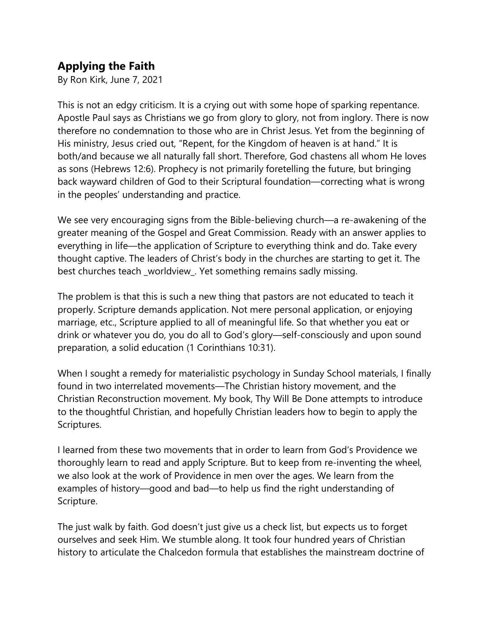## Applying the Faith

By Ron Kirk, June 7, 2021

This is not an edgy criticism. It is a crying out with some hope of sparking repentance. Apostle Paul says as Christians we go from glory to glory, not from inglory. There is now therefore no condemnation to those who are in Christ Jesus. Yet from the beginning of His ministry, Jesus cried out, "Repent, for the Kingdom of heaven is at hand." It is both/and because we all naturally fall short. Therefore, God chastens all whom He loves as sons (Hebrews 12:6). Prophecy is not primarily foretelling the future, but bringing back wayward children of God to their Scriptural foundation—correcting what is wrong in the peoples' understanding and practice.

We see very encouraging signs from the Bible-believing church—a re-awakening of the greater meaning of the Gospel and Great Commission. Ready with an answer applies to everything in life—the application of Scripture to everything think and do. Take every thought captive. The leaders of Christ's body in the churches are starting to get it. The best churches teach \_worldview\_. Yet something remains sadly missing.

The problem is that this is such a new thing that pastors are not educated to teach it properly. Scripture demands application. Not mere personal application, or enjoying marriage, etc., Scripture applied to all of meaningful life. So that whether you eat or drink or whatever you do, you do all to God's glory—self-consciously and upon sound preparation, a solid education (1 Corinthians 10:31).

When I sought a remedy for materialistic psychology in Sunday School materials, I finally found in two interrelated movements—The Christian history movement, and the Christian Reconstruction movement. My book, Thy Will Be Done attempts to introduce to the thoughtful Christian, and hopefully Christian leaders how to begin to apply the Scriptures.

I learned from these two movements that in order to learn from God's Providence we thoroughly learn to read and apply Scripture. But to keep from re-inventing the wheel, we also look at the work of Providence in men over the ages. We learn from the examples of history—good and bad—to help us find the right understanding of Scripture.

The just walk by faith. God doesn't just give us a check list, but expects us to forget ourselves and seek Him. We stumble along. It took four hundred years of Christian history to articulate the Chalcedon formula that establishes the mainstream doctrine of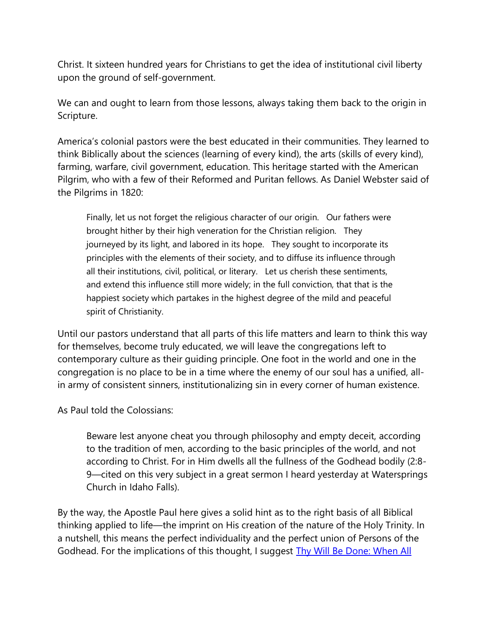Christ. It sixteen hundred years for Christians to get the idea of institutional civil liberty upon the ground of self-government.

We can and ought to learn from those lessons, always taking them back to the origin in Scripture.

America's colonial pastors were the best educated in their communities. They learned to think Biblically about the sciences (learning of every kind), the arts (skills of every kind), farming, warfare, civil government, education. This heritage started with the American Pilgrim, who with a few of their Reformed and Puritan fellows. As Daniel Webster said of the Pilgrims in 1820:

Finally, let us not forget the religious character of our origin. Our fathers were brought hither by their high veneration for the Christian religion. They journeyed by its light, and labored in its hope. They sought to incorporate its principles with the elements of their society, and to diffuse its influence through all their institutions, civil, political, or literary. Let us cherish these sentiments, and extend this influence still more widely; in the full conviction, that that is the happiest society which partakes in the highest degree of the mild and peaceful spirit of Christianity.

Until our pastors understand that all parts of this life matters and learn to think this way for themselves, become truly educated, we will leave the congregations left to contemporary culture as their guiding principle. One foot in the world and one in the congregation is no place to be in a time where the enemy of our soul has a unified, allin army of consistent sinners, institutionalizing sin in every corner of human existence.

As Paul told the Colossians:

Beware lest anyone cheat you through philosophy and empty deceit, according to the tradition of men, according to the basic principles of the world, and not according to Christ. For in Him dwells all the fullness of the Godhead bodily (2:8- 9—cited on this very subject in a great sermon I heard yesterday at Watersprings Church in Idaho Falls).

By the way, the Apostle Paul here gives a solid hint as to the right basis of all Biblical thinking applied to life—the imprint on His creation of the nature of the Holy Trinity. In a nutshell, this means the perfect individuality and the perfect union of Persons of the Godhead. For the implications of this thought, I suggest Thy Will Be Done: When All